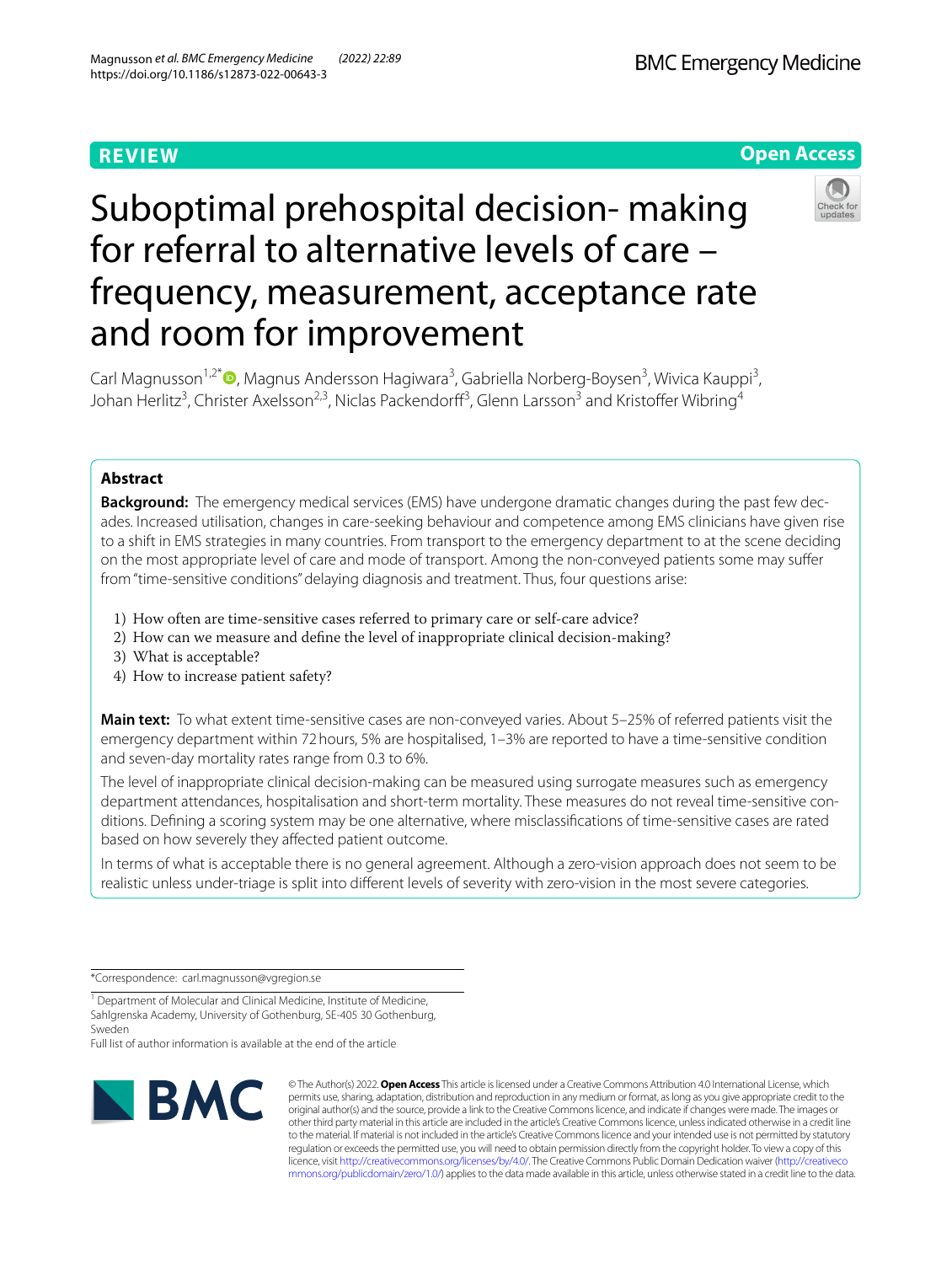# **REVIEW**

**BMC Emergency Medicine** 

# **Open Access**

# Suboptimal prehospital decision- making for referral to alternative levels of care – frequency, measurement, acceptance rate and room for improvement



Carl Magnusson<sup>1,2[\\*](http://orcid.org/0000-0002-8037-0014)</sup><sup>®</sup>, Magnus Andersson Hagiwara<sup>3</sup>, Gabriella Norberg-Boysen<sup>3</sup>, Wivica Kauppi<sup>3</sup>, Johan Herlitz<sup>3</sup>, Christer Axelsson<sup>2,3</sup>, Niclas Packendorff<sup>3</sup>, Glenn Larsson<sup>3</sup> and Kristoffer Wibring<sup>4</sup>

# **Abstract**

**Background:** The emergency medical services (EMS) have undergone dramatic changes during the past few dec‑ ades. Increased utilisation, changes in care-seeking behaviour and competence among EMS clinicians have given rise to a shift in EMS strategies in many countries. From transport to the emergency department to at the scene deciding on the most appropriate level of care and mode of transport. Among the non-conveyed patients some may sufer from "time-sensitive conditions" delaying diagnosis and treatment. Thus, four questions arise:

- 1) How often are time-sensitive cases referred to primary care or self-care advice?
- 2) How can we measure and defne the level of inappropriate clinical decision-making?
- 3) What is acceptable?
- 4) How to increase patient safety?

**Main text:** To what extent time-sensitive cases are non-conveyed varies. About 5–25% of referred patients visit the emergency department within 72hours, 5% are hospitalised, 1–3% are reported to have a time-sensitive condition and seven-day mortality rates range from 0.3 to 6%.

The level of inappropriate clinical decision-making can be measured using surrogate measures such as emergency department attendances, hospitalisation and short-term mortality. These measures do not reveal time-sensitive conditions. Defning a scoring system may be one alternative, where misclassifcations of time-sensitive cases are rated based on how severely they affected patient outcome.

In terms of what is acceptable there is no general agreement. Although a zero-vision approach does not seem to be realistic unless under-triage is split into diferent levels of severity with zero-vision in the most severe categories.

\*Correspondence: carl.magnusson@vgregion.se

<sup>1</sup> Department of Molecular and Clinical Medicine, Institute of Medicine, Sahlgrenska Academy, University of Gothenburg, SE‑405 30 Gothenburg, Sweden

Full list of author information is available at the end of the article



© The Author(s) 2022. **Open Access** This article is licensed under a Creative Commons Attribution 4.0 International License, which permits use, sharing, adaptation, distribution and reproduction in any medium or format, as long as you give appropriate credit to the original author(s) and the source, provide a link to the Creative Commons licence, and indicate if changes were made. The images or other third party material in this article are included in the article's Creative Commons licence, unless indicated otherwise in a credit line to the material. If material is not included in the article's Creative Commons licence and your intended use is not permitted by statutory regulation or exceeds the permitted use, you will need to obtain permission directly from the copyright holder. To view a copy of this licence, visit [http://creativecommons.org/licenses/by/4.0/.](http://creativecommons.org/licenses/by/4.0/) The Creative Commons Public Domain Dedication waiver ([http://creativeco](http://creativecommons.org/publicdomain/zero/1.0/) [mmons.org/publicdomain/zero/1.0/](http://creativecommons.org/publicdomain/zero/1.0/)) applies to the data made available in this article, unless otherwise stated in a credit line to the data.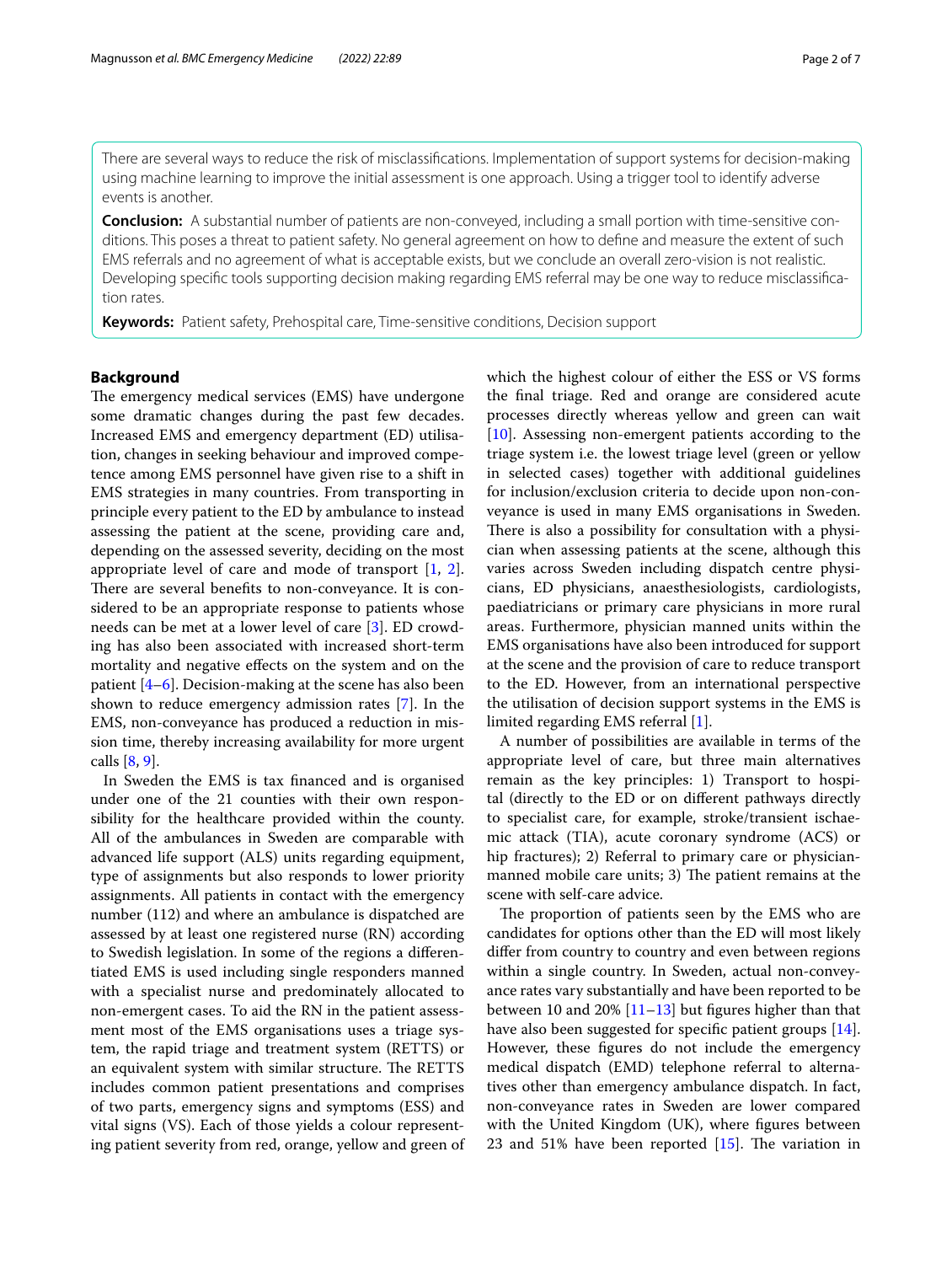There are several ways to reduce the risk of misclassifcations. Implementation of support systems for decision-making using machine learning to improve the initial assessment is one approach. Using a trigger tool to identify adverse events is another.

**Conclusion:** A substantial number of patients are non-conveyed, including a small portion with time-sensitive conditions. This poses a threat to patient safety. No general agreement on how to defne and measure the extent of such EMS referrals and no agreement of what is acceptable exists, but we conclude an overall zero-vision is not realistic. Developing specific tools supporting decision making regarding EMS referral may be one way to reduce misclassification rates.

**Keywords:** Patient safety, Prehospital care, Time-sensitive conditions, Decision support

# **Background**

The emergency medical services (EMS) have undergone some dramatic changes during the past few decades. Increased EMS and emergency department (ED) utilisation, changes in seeking behaviour and improved competence among EMS personnel have given rise to a shift in EMS strategies in many countries. From transporting in principle every patient to the ED by ambulance to instead assessing the patient at the scene, providing care and, depending on the assessed severity, deciding on the most appropriate level of care and mode of transport [[1,](#page-5-0) [2](#page-5-1)]. There are several benefits to non-conveyance. It is considered to be an appropriate response to patients whose needs can be met at a lower level of care [\[3](#page-5-2)]. ED crowding has also been associated with increased short-term mortality and negative efects on the system and on the patient [[4–](#page-5-3)[6\]](#page-5-4). Decision-making at the scene has also been shown to reduce emergency admission rates [[7\]](#page-5-5). In the EMS, non-conveyance has produced a reduction in mission time, thereby increasing availability for more urgent calls [\[8](#page-5-6), [9\]](#page-5-7).

In Sweden the EMS is tax fnanced and is organised under one of the 21 counties with their own responsibility for the healthcare provided within the county. All of the ambulances in Sweden are comparable with advanced life support (ALS) units regarding equipment, type of assignments but also responds to lower priority assignments. All patients in contact with the emergency number (112) and where an ambulance is dispatched are assessed by at least one registered nurse (RN) according to Swedish legislation. In some of the regions a diferentiated EMS is used including single responders manned with a specialist nurse and predominately allocated to non-emergent cases. To aid the RN in the patient assessment most of the EMS organisations uses a triage system, the rapid triage and treatment system (RETTS) or an equivalent system with similar structure. The RETTS includes common patient presentations and comprises of two parts, emergency signs and symptoms (ESS) and vital signs (VS). Each of those yields a colour representing patient severity from red, orange, yellow and green of which the highest colour of either the ESS or VS forms the fnal triage. Red and orange are considered acute processes directly whereas yellow and green can wait [[10\]](#page-5-8). Assessing non-emergent patients according to the triage system i.e. the lowest triage level (green or yellow in selected cases) together with additional guidelines for inclusion/exclusion criteria to decide upon non-conveyance is used in many EMS organisations in Sweden. There is also a possibility for consultation with a physician when assessing patients at the scene, although this varies across Sweden including dispatch centre physicians, ED physicians, anaesthesiologists, cardiologists, paediatricians or primary care physicians in more rural areas. Furthermore, physician manned units within the EMS organisations have also been introduced for support at the scene and the provision of care to reduce transport to the ED. However, from an international perspective the utilisation of decision support systems in the EMS is limited regarding EMS referral [\[1](#page-5-0)].

A number of possibilities are available in terms of the appropriate level of care, but three main alternatives remain as the key principles: 1) Transport to hospital (directly to the ED or on diferent pathways directly to specialist care, for example, stroke/transient ischaemic attack (TIA), acute coronary syndrome (ACS) or hip fractures); 2) Referral to primary care or physicianmanned mobile care units; 3) The patient remains at the scene with self-care advice.

The proportion of patients seen by the EMS who are candidates for options other than the ED will most likely difer from country to country and even between regions within a single country. In Sweden, actual non-conveyance rates vary substantially and have been reported to be between 10 and 20% [\[11](#page-5-9)[–13](#page-5-10)] but fgures higher than that have also been suggested for specifc patient groups [\[14](#page-5-11)]. However, these fgures do not include the emergency medical dispatch (EMD) telephone referral to alternatives other than emergency ambulance dispatch. In fact, non-conveyance rates in Sweden are lower compared with the United Kingdom (UK), where fgures between 23 and 51% have been reported  $[15]$  $[15]$ . The variation in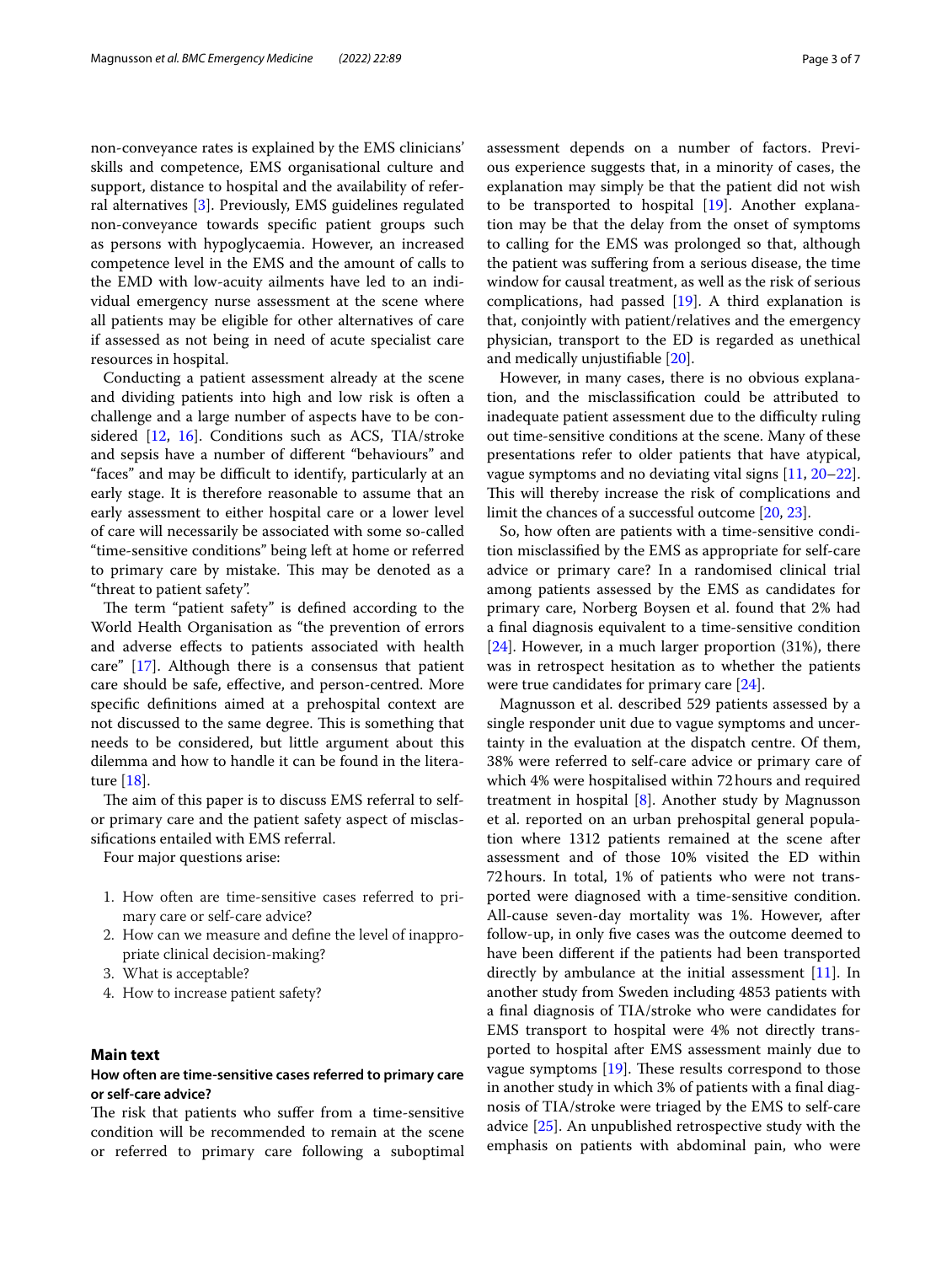non-conveyance rates is explained by the EMS clinicians' skills and competence, EMS organisational culture and support, distance to hospital and the availability of referral alternatives [[3\]](#page-5-2). Previously, EMS guidelines regulated non-conveyance towards specifc patient groups such as persons with hypoglycaemia. However, an increased competence level in the EMS and the amount of calls to the EMD with low-acuity ailments have led to an individual emergency nurse assessment at the scene where all patients may be eligible for other alternatives of care if assessed as not being in need of acute specialist care resources in hospital.

Conducting a patient assessment already at the scene and dividing patients into high and low risk is often a challenge and a large number of aspects have to be considered [\[12](#page-5-13), [16](#page-5-14)]. Conditions such as ACS, TIA/stroke and sepsis have a number of diferent "behaviours" and "faces" and may be difcult to identify, particularly at an early stage. It is therefore reasonable to assume that an early assessment to either hospital care or a lower level of care will necessarily be associated with some so-called "time-sensitive conditions" being left at home or referred to primary care by mistake. This may be denoted as a "threat to patient safety".

The term "patient safety" is defined according to the World Health Organisation as "the prevention of errors and adverse efects to patients associated with health care" [\[17](#page-5-15)]. Although there is a consensus that patient care should be safe, efective, and person-centred. More specifc defnitions aimed at a prehospital context are not discussed to the same degree. This is something that needs to be considered, but little argument about this dilemma and how to handle it can be found in the literature [[18\]](#page-5-16).

The aim of this paper is to discuss EMS referral to selfor primary care and the patient safety aspect of misclassifcations entailed with EMS referral.

Four major questions arise:

- 1. How often are time-sensitive cases referred to primary care or self-care advice?
- 2. How can we measure and defne the level of inappropriate clinical decision-making?
- 3. What is acceptable?
- 4. How to increase patient safety?

# **Main text**

# **How often are time‑sensitive cases referred to primary care or self‑care advice?**

The risk that patients who suffer from a time-sensitive condition will be recommended to remain at the scene or referred to primary care following a suboptimal assessment depends on a number of factors. Previous experience suggests that, in a minority of cases, the explanation may simply be that the patient did not wish to be transported to hospital [[19\]](#page-5-17). Another explanation may be that the delay from the onset of symptoms to calling for the EMS was prolonged so that, although the patient was sufering from a serious disease, the time window for causal treatment, as well as the risk of serious complications, had passed  $[19]$  $[19]$ . A third explanation is that, conjointly with patient/relatives and the emergency physician, transport to the ED is regarded as unethical and medically unjustifable [[20](#page-6-0)].

However, in many cases, there is no obvious explanation, and the misclassifcation could be attributed to inadequate patient assessment due to the difficulty ruling out time-sensitive conditions at the scene. Many of these presentations refer to older patients that have atypical, vague symptoms and no deviating vital signs [[11,](#page-5-9) [20](#page-6-0)[–22](#page-6-1)]. This will thereby increase the risk of complications and limit the chances of a successful outcome [\[20,](#page-6-0) [23](#page-6-2)].

So, how often are patients with a time-sensitive condition misclassifed by the EMS as appropriate for self-care advice or primary care? In a randomised clinical trial among patients assessed by the EMS as candidates for primary care, Norberg Boysen et al. found that 2% had a fnal diagnosis equivalent to a time-sensitive condition  $[24]$  $[24]$ . However, in a much larger proportion  $(31%)$ , there was in retrospect hesitation as to whether the patients were true candidates for primary care [[24](#page-6-3)].

Magnusson et al. described 529 patients assessed by a single responder unit due to vague symptoms and uncertainty in the evaluation at the dispatch centre. Of them, 38% were referred to self-care advice or primary care of which 4% were hospitalised within 72hours and required treatment in hospital [\[8\]](#page-5-6). Another study by Magnusson et al. reported on an urban prehospital general population where 1312 patients remained at the scene after assessment and of those 10% visited the ED within 72hours. In total, 1% of patients who were not transported were diagnosed with a time-sensitive condition. All-cause seven-day mortality was 1%. However, after follow-up, in only fve cases was the outcome deemed to have been diferent if the patients had been transported directly by ambulance at the initial assessment [[11](#page-5-9)]. In another study from Sweden including 4853 patients with a fnal diagnosis of TIA/stroke who were candidates for EMS transport to hospital were 4% not directly transported to hospital after EMS assessment mainly due to vague symptoms  $[19]$ . These results correspond to those in another study in which 3% of patients with a fnal diagnosis of TIA/stroke were triaged by the EMS to self-care advice [[25](#page-6-4)]. An unpublished retrospective study with the emphasis on patients with abdominal pain, who were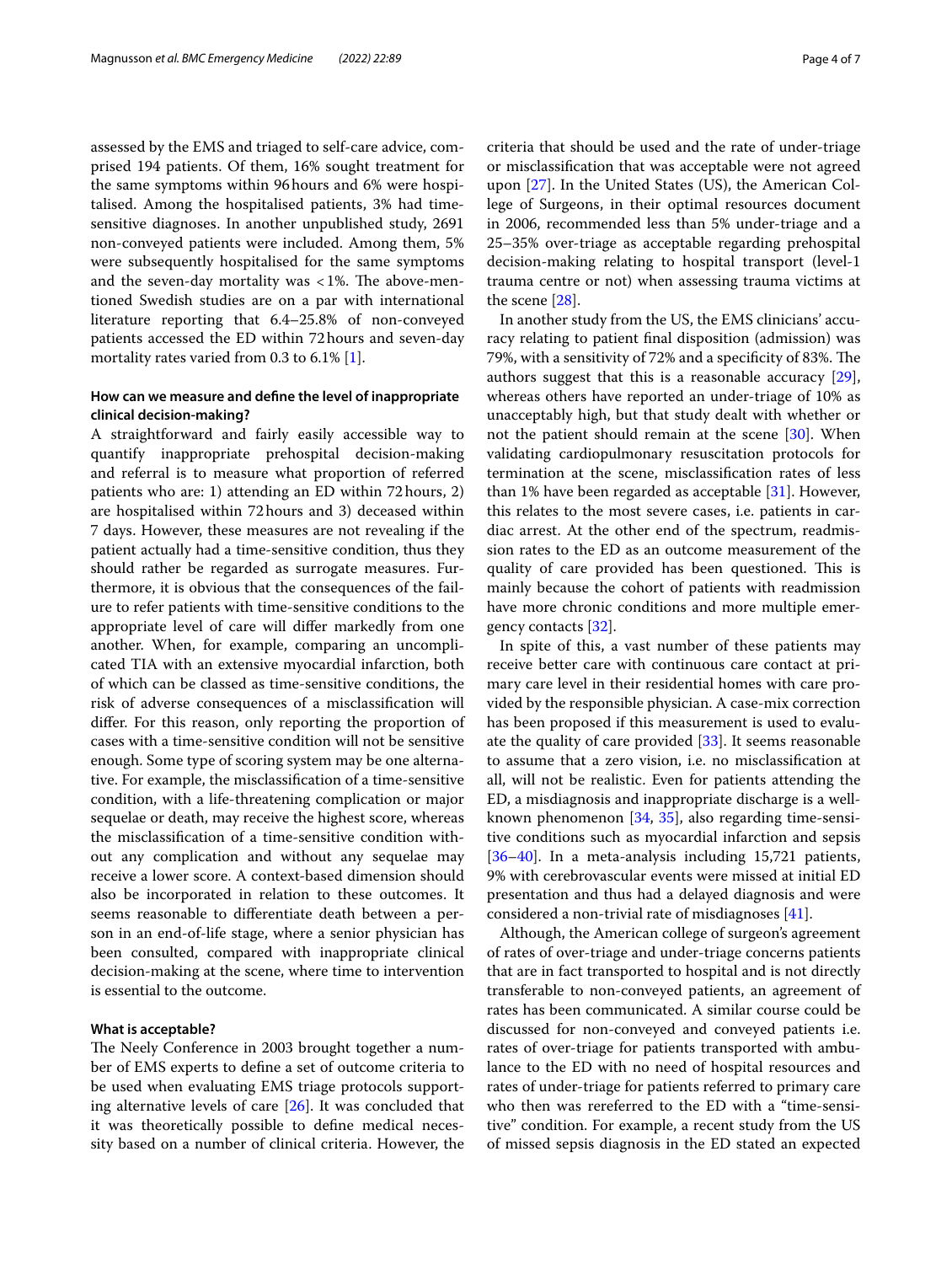assessed by the EMS and triaged to self-care advice, comprised 194 patients. Of them, 16% sought treatment for the same symptoms within 96hours and 6% were hospitalised. Among the hospitalised patients, 3% had timesensitive diagnoses. In another unpublished study, 2691 non-conveyed patients were included. Among them, 5% were subsequently hospitalised for the same symptoms and the seven-day mortality was  $<1\%$ . The above-mentioned Swedish studies are on a par with international literature reporting that 6.4–25.8% of non-conveyed patients accessed the ED within 72hours and seven-day mortality rates varied from 0.3 to 6.1% [\[1](#page-5-0)].

# **How can we measure and defne the level of inappropriate clinical decision‑making?**

A straightforward and fairly easily accessible way to quantify inappropriate prehospital decision-making and referral is to measure what proportion of referred patients who are: 1) attending an ED within 72hours, 2) are hospitalised within 72hours and 3) deceased within 7 days. However, these measures are not revealing if the patient actually had a time-sensitive condition, thus they should rather be regarded as surrogate measures. Furthermore, it is obvious that the consequences of the failure to refer patients with time-sensitive conditions to the appropriate level of care will difer markedly from one another. When, for example, comparing an uncomplicated TIA with an extensive myocardial infarction, both of which can be classed as time-sensitive conditions, the risk of adverse consequences of a misclassifcation will difer. For this reason, only reporting the proportion of cases with a time-sensitive condition will not be sensitive enough. Some type of scoring system may be one alternative. For example, the misclassifcation of a time-sensitive condition, with a life-threatening complication or major sequelae or death, may receive the highest score, whereas the misclassifcation of a time-sensitive condition without any complication and without any sequelae may receive a lower score. A context-based dimension should also be incorporated in relation to these outcomes. It seems reasonable to diferentiate death between a person in an end-of-life stage, where a senior physician has been consulted, compared with inappropriate clinical decision-making at the scene, where time to intervention is essential to the outcome.

# **What is acceptable?**

The Neely Conference in 2003 brought together a number of EMS experts to defne a set of outcome criteria to be used when evaluating EMS triage protocols supporting alternative levels of care [\[26\]](#page-6-5). It was concluded that it was theoretically possible to defne medical necessity based on a number of clinical criteria. However, the criteria that should be used and the rate of under-triage or misclassifcation that was acceptable were not agreed upon [\[27](#page-6-6)]. In the United States (US), the American College of Surgeons, in their optimal resources document in 2006, recommended less than 5% under-triage and a 25–35% over-triage as acceptable regarding prehospital decision-making relating to hospital transport (level-1 trauma centre or not) when assessing trauma victims at the scene [\[28\]](#page-6-7).

In another study from the US, the EMS clinicians' accuracy relating to patient fnal disposition (admission) was 79%, with a sensitivity of 72% and a specificity of 83%. The authors suggest that this is a reasonable accuracy [\[29](#page-6-8)], whereas others have reported an under-triage of 10% as unacceptably high, but that study dealt with whether or not the patient should remain at the scene [\[30\]](#page-6-9). When validating cardiopulmonary resuscitation protocols for termination at the scene, misclassifcation rates of less than 1% have been regarded as acceptable [\[31](#page-6-10)]. However, this relates to the most severe cases, i.e. patients in cardiac arrest. At the other end of the spectrum, readmission rates to the ED as an outcome measurement of the quality of care provided has been questioned. This is mainly because the cohort of patients with readmission have more chronic conditions and more multiple emergency contacts [[32](#page-6-11)].

In spite of this, a vast number of these patients may receive better care with continuous care contact at primary care level in their residential homes with care provided by the responsible physician. A case-mix correction has been proposed if this measurement is used to evaluate the quality of care provided [[33\]](#page-6-12). It seems reasonable to assume that a zero vision, i.e. no misclassifcation at all, will not be realistic. Even for patients attending the ED, a misdiagnosis and inappropriate discharge is a wellknown phenomenon [[34,](#page-6-13) [35](#page-6-14)], also regarding time-sensitive conditions such as myocardial infarction and sepsis [[36–](#page-6-15)[40\]](#page-6-16). In a meta-analysis including 15,721 patients, 9% with cerebrovascular events were missed at initial ED presentation and thus had a delayed diagnosis and were considered a non-trivial rate of misdiagnoses [\[41](#page-6-17)].

Although, the American college of surgeon's agreement of rates of over-triage and under-triage concerns patients that are in fact transported to hospital and is not directly transferable to non-conveyed patients, an agreement of rates has been communicated. A similar course could be discussed for non-conveyed and conveyed patients i.e. rates of over-triage for patients transported with ambulance to the ED with no need of hospital resources and rates of under-triage for patients referred to primary care who then was rereferred to the ED with a "time-sensitive" condition. For example, a recent study from the US of missed sepsis diagnosis in the ED stated an expected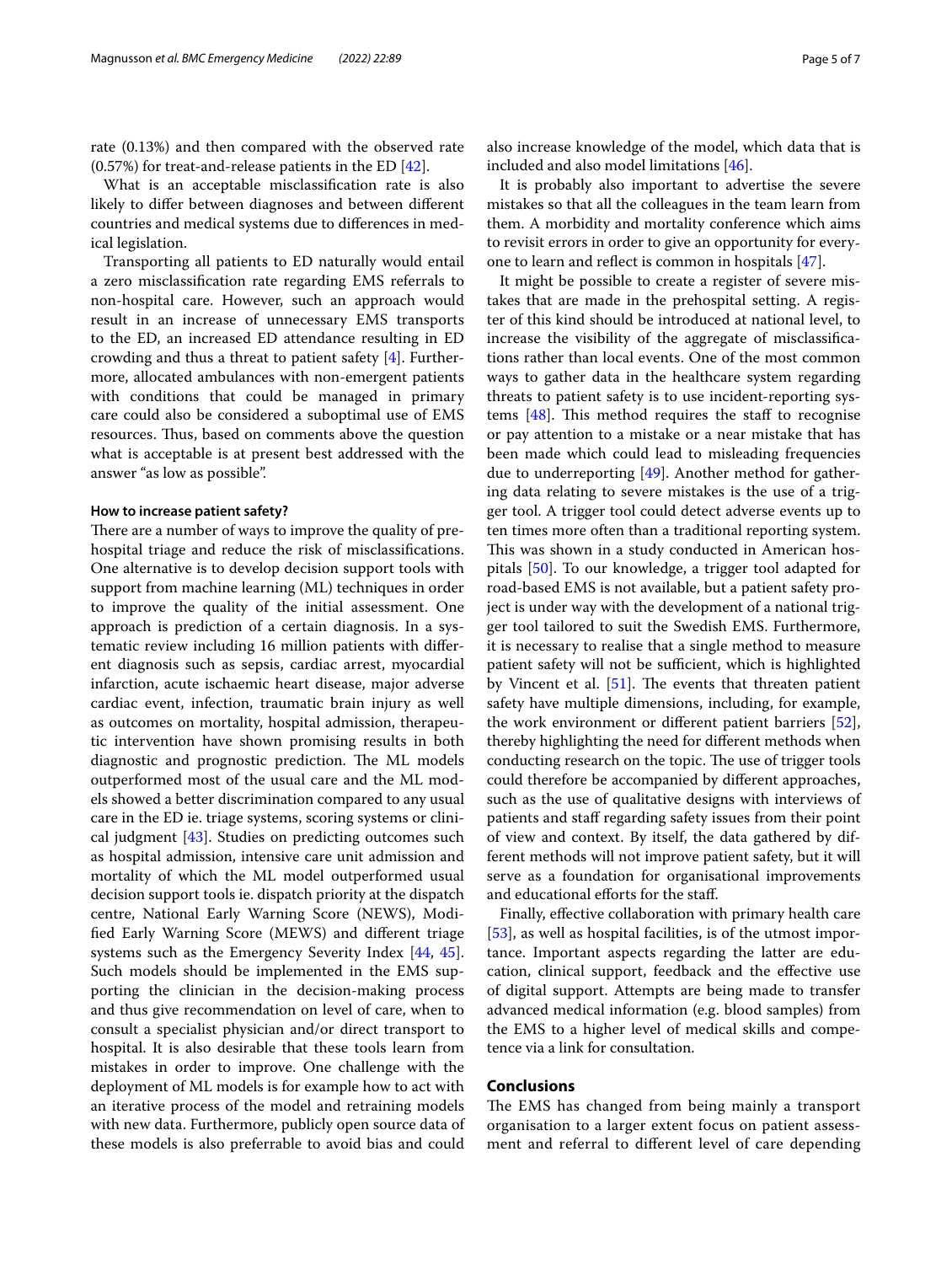rate (0.13%) and then compared with the observed rate (0.57%) for treat-and-release patients in the ED [[42\]](#page-6-18).

What is an acceptable misclassifcation rate is also likely to difer between diagnoses and between diferent countries and medical systems due to diferences in medical legislation.

Transporting all patients to ED naturally would entail a zero misclassifcation rate regarding EMS referrals to non-hospital care. However, such an approach would result in an increase of unnecessary EMS transports to the ED, an increased ED attendance resulting in ED crowding and thus a threat to patient safety [\[4](#page-5-3)]. Furthermore, allocated ambulances with non-emergent patients with conditions that could be managed in primary care could also be considered a suboptimal use of EMS resources. Thus, based on comments above the question what is acceptable is at present best addressed with the answer "as low as possible".

# **How to increase patient safety?**

There are a number of ways to improve the quality of prehospital triage and reduce the risk of misclassifcations. One alternative is to develop decision support tools with support from machine learning (ML) techniques in order to improve the quality of the initial assessment. One approach is prediction of a certain diagnosis. In a systematic review including 16 million patients with diferent diagnosis such as sepsis, cardiac arrest, myocardial infarction, acute ischaemic heart disease, major adverse cardiac event, infection, traumatic brain injury as well as outcomes on mortality, hospital admission, therapeutic intervention have shown promising results in both diagnostic and prognostic prediction. The ML models outperformed most of the usual care and the ML models showed a better discrimination compared to any usual care in the ED ie. triage systems, scoring systems or clinical judgment [\[43](#page-6-19)]. Studies on predicting outcomes such as hospital admission, intensive care unit admission and mortality of which the ML model outperformed usual decision support tools ie. dispatch priority at the dispatch centre, National Early Warning Score (NEWS), Modifed Early Warning Score (MEWS) and diferent triage systems such as the Emergency Severity Index [[44](#page-6-20), [45](#page-6-21)]. Such models should be implemented in the EMS supporting the clinician in the decision-making process and thus give recommendation on level of care, when to consult a specialist physician and/or direct transport to hospital. It is also desirable that these tools learn from mistakes in order to improve. One challenge with the deployment of ML models is for example how to act with an iterative process of the model and retraining models with new data. Furthermore, publicly open source data of these models is also preferrable to avoid bias and could also increase knowledge of the model, which data that is included and also model limitations [[46\]](#page-6-22).

It is probably also important to advertise the severe mistakes so that all the colleagues in the team learn from them. A morbidity and mortality conference which aims to revisit errors in order to give an opportunity for everyone to learn and refect is common in hospitals [[47](#page-6-23)].

It might be possible to create a register of severe mistakes that are made in the prehospital setting. A register of this kind should be introduced at national level, to increase the visibility of the aggregate of misclassifcations rather than local events. One of the most common ways to gather data in the healthcare system regarding threats to patient safety is to use incident-reporting systems  $[48]$  $[48]$ . This method requires the staff to recognise or pay attention to a mistake or a near mistake that has been made which could lead to misleading frequencies due to underreporting [[49](#page-6-25)]. Another method for gathering data relating to severe mistakes is the use of a trigger tool. A trigger tool could detect adverse events up to ten times more often than a traditional reporting system. This was shown in a study conducted in American hospitals [\[50](#page-6-26)]. To our knowledge, a trigger tool adapted for road-based EMS is not available, but a patient safety project is under way with the development of a national trigger tool tailored to suit the Swedish EMS. Furthermore, it is necessary to realise that a single method to measure patient safety will not be sufficient, which is highlighted by Vincent et al.  $[51]$  $[51]$ . The events that threaten patient safety have multiple dimensions, including, for example, the work environment or diferent patient barriers [\[52](#page-6-28)], thereby highlighting the need for diferent methods when conducting research on the topic. The use of trigger tools could therefore be accompanied by diferent approaches, such as the use of qualitative designs with interviews of patients and staff regarding safety issues from their point of view and context. By itself, the data gathered by different methods will not improve patient safety, but it will serve as a foundation for organisational improvements and educational efforts for the staff.

Finally, efective collaboration with primary health care [[53\]](#page-6-29), as well as hospital facilities, is of the utmost importance. Important aspects regarding the latter are education, clinical support, feedback and the efective use of digital support. Attempts are being made to transfer advanced medical information (e.g. blood samples) from the EMS to a higher level of medical skills and competence via a link for consultation.

## **Conclusions**

The EMS has changed from being mainly a transport organisation to a larger extent focus on patient assessment and referral to diferent level of care depending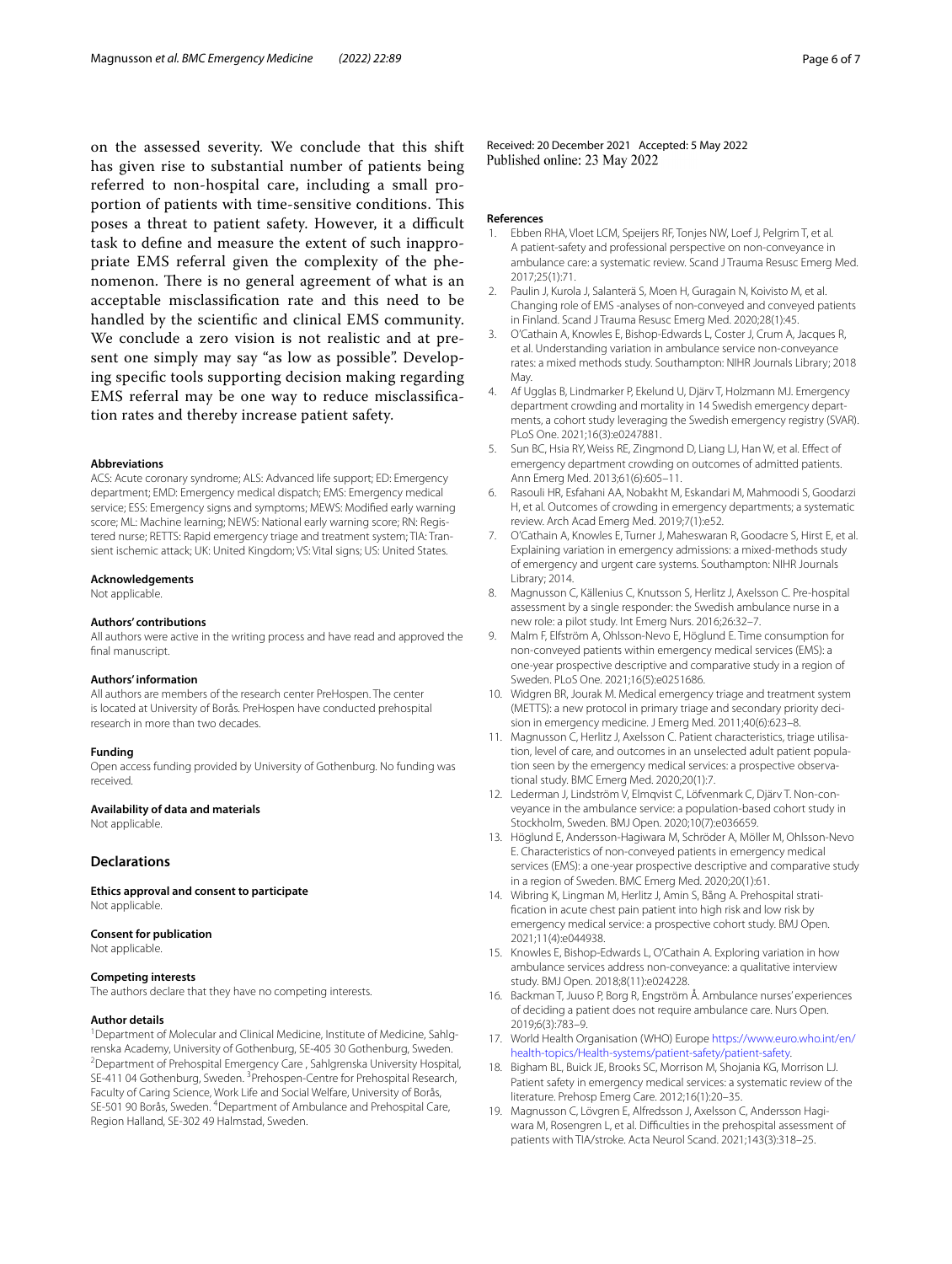on the assessed severity. We conclude that this shift has given rise to substantial number of patients being referred to non-hospital care, including a small proportion of patients with time-sensitive conditions. This poses a threat to patient safety. However, it a difficult task to defne and measure the extent of such inappropriate EMS referral given the complexity of the phenomenon. There is no general agreement of what is an acceptable misclassifcation rate and this need to be handled by the scientifc and clinical EMS community. We conclude a zero vision is not realistic and at present one simply may say "as low as possible". Developing specifc tools supporting decision making regarding EMS referral may be one way to reduce misclassifcation rates and thereby increase patient safety.

#### **Abbreviations**

ACS: Acute coronary syndrome; ALS: Advanced life support; ED: Emergency department; EMD: Emergency medical dispatch; EMS: Emergency medical service; ESS: Emergency signs and symptoms; MEWS: Modifed early warning score; ML: Machine learning; NEWS: National early warning score; RN: Registered nurse; RETTS: Rapid emergency triage and treatment system; TIA: Transient ischemic attack; UK: United Kingdom; VS: Vital signs; US: United States.

#### **Acknowledgements**

Not applicable.

#### **Authors' contributions**

All authors were active in the writing process and have read and approved the fnal manuscript.

#### **Authors' information**

All authors are members of the research center PreHospen. The center is located at University of Borås. PreHospen have conducted prehospital research in more than two decades.

#### **Funding**

Open access funding provided by University of Gothenburg. No funding was received.

## **Availability of data and materials**

Not applicable.

# **Declarations**

**Ethics approval and consent to participate** Not applicable.

#### **Consent for publication**

Not applicable.

#### **Competing interests**

The authors declare that they have no competing interests.

#### **Author details**

<sup>1</sup> Department of Molecular and Clinical Medicine, Institute of Medicine, Sahlgrenska Academy, University of Gothenburg, SE‑405 30 Gothenburg, Sweden. 2 Department of Prehospital Emergency Care , Sahlgrenska University Hospital, SE-411 04 Gothenburg, Sweden. <sup>3</sup> Prehospen-Centre for Prehospital Research, Faculty of Caring Science, Work Life and Social Welfare, University of Borås, SE-501 90 Borås, Sweden. <sup>4</sup> Department of Ambulance and Prehospital Care, Region Halland, SE‑302 49 Halmstad, Sweden.

Received: 20 December 2021 Accepted: 5 May 2022 Published online: 23 May 2022

#### **References**

- <span id="page-5-0"></span>1. Ebben RHA, Vloet LCM, Speijers RF, Tonjes NW, Loef J, Pelgrim T, et al. A patient-safety and professional perspective on non-conveyance in ambulance care: a systematic review. Scand J Trauma Resusc Emerg Med. 2017;25(1):71.
- <span id="page-5-1"></span>2. Paulin J, Kurola J, Salanterä S, Moen H, Guragain N, Koivisto M, et al. Changing role of EMS -analyses of non-conveyed and conveyed patients in Finland. Scand J Trauma Resusc Emerg Med. 2020;28(1):45.
- <span id="page-5-2"></span>3. O'Cathain A, Knowles E, Bishop-Edwards L, Coster J, Crum A, Jacques R, et al. Understanding variation in ambulance service non-conveyance rates: a mixed methods study. Southampton: NIHR Journals Library; 2018 May.
- <span id="page-5-3"></span>4. Af Ugglas B, Lindmarker P, Ekelund U, Djärv T, Holzmann MJ. Emergency department crowding and mortality in 14 Swedish emergency depart‑ ments, a cohort study leveraging the Swedish emergency registry (SVAR). PLoS One. 2021;16(3):e0247881.
- 5. Sun BC, Hsia RY, Weiss RE, Zingmond D, Liang LJ, Han W, et al. Efect of emergency department crowding on outcomes of admitted patients. Ann Emerg Med. 2013;61(6):605–11.
- <span id="page-5-4"></span>6. Rasouli HR, Esfahani AA, Nobakht M, Eskandari M, Mahmoodi S, Goodarzi H, et al. Outcomes of crowding in emergency departments; a systematic review. Arch Acad Emerg Med. 2019;7(1):e52.
- <span id="page-5-5"></span>7. O'Cathain A, Knowles E, Turner J, Maheswaran R, Goodacre S, Hirst E, et al. Explaining variation in emergency admissions: a mixed-methods study of emergency and urgent care systems. Southampton: NIHR Journals Library; 2014.
- <span id="page-5-6"></span>8. Magnusson C, Källenius C, Knutsson S, Herlitz J, Axelsson C. Pre-hospital assessment by a single responder: the Swedish ambulance nurse in a new role: a pilot study. Int Emerg Nurs. 2016;26:32–7.
- <span id="page-5-7"></span>9. Malm F, Elfström A, Ohlsson-Nevo E, Höglund E. Time consumption for non-conveyed patients within emergency medical services (EMS): a one-year prospective descriptive and comparative study in a region of Sweden. PLoS One. 2021;16(5):e0251686.
- <span id="page-5-8"></span>10. Widgren BR, Jourak M. Medical emergency triage and treatment system (METTS): a new protocol in primary triage and secondary priority decision in emergency medicine. J Emerg Med. 2011;40(6):623–8.
- <span id="page-5-9"></span>11. Magnusson C, Herlitz J, Axelsson C. Patient characteristics, triage utilisation, level of care, and outcomes in an unselected adult patient population seen by the emergency medical services: a prospective observational study. BMC Emerg Med. 2020;20(1):7.
- <span id="page-5-13"></span>12. Lederman J, Lindström V, Elmqvist C, Löfvenmark C, Djärv T. Non-conveyance in the ambulance service: a population-based cohort study in Stockholm, Sweden. BMJ Open. 2020;10(7):e036659.
- <span id="page-5-10"></span>13. Höglund E, Andersson-Hagiwara M, Schröder A, Möller M, Ohlsson-Nevo E. Characteristics of non-conveyed patients in emergency medical services (EMS): a one-year prospective descriptive and comparative study in a region of Sweden. BMC Emerg Med. 2020;20(1):61.
- <span id="page-5-11"></span>14. Wibring K, Lingman M, Herlitz J, Amin S, Bång A. Prehospital stratifcation in acute chest pain patient into high risk and low risk by emergency medical service: a prospective cohort study. BMJ Open. 2021;11(4):e044938.
- <span id="page-5-12"></span>15. Knowles E, Bishop-Edwards L, O'Cathain A. Exploring variation in how ambulance services address non-conveyance: a qualitative interview study. BMJ Open. 2018;8(11):e024228.
- <span id="page-5-14"></span>16. Backman T, Juuso P, Borg R, Engström Å. Ambulance nurses' experiences of deciding a patient does not require ambulance care. Nurs Open. 2019;6(3):783–9.
- <span id="page-5-15"></span>17. World Health Organisation (WHO) Europe [https://www.euro.who.int/en/](https://www.euro.who.int/en/health-topics/Health-systems/patient-safety/patient-safety) [health-topics/Health-systems/patient-safety/patient-safety](https://www.euro.who.int/en/health-topics/Health-systems/patient-safety/patient-safety).
- <span id="page-5-16"></span>18. Bigham BL, Buick JE, Brooks SC, Morrison M, Shojania KG, Morrison LJ. Patient safety in emergency medical services: a systematic review of the literature. Prehosp Emerg Care. 2012;16(1):20–35.
- <span id="page-5-17"></span>19. Magnusson C, Lövgren E, Alfredsson J, Axelsson C, Andersson Hagiwara M, Rosengren L, et al. Difficulties in the prehospital assessment of patients with TIA/stroke. Acta Neurol Scand. 2021;143(3):318–25.